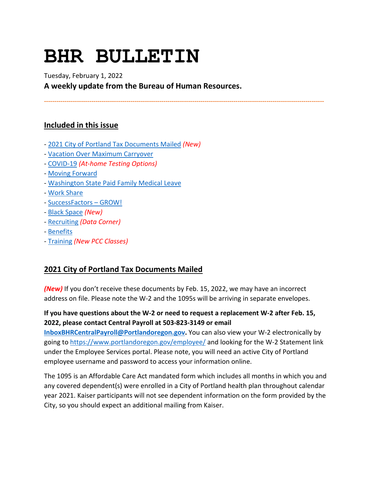# **BHR BULLETIN**

Tuesday, February 1, 2022 **A weekly update from the Bureau of Human Resources.**

**----------------------------------------------------------------------------------------------------------------------------------------**

# **Included in this issue**

- [2021 City of Portland Tax Documents Mailed](#page-0-0) *(New)*
- [Vacation Over Maximum Carryover](#page-1-0)
- [COVID-19](#page-2-0) *(At-home Testing Options)*
- [Moving Forward](#page-6-0)
- [Washington State Paid Family Medical Leave](#page-7-0)
- [Work Share](#page-8-0)
- [SuccessFactors –](#page-9-0) GROW!
- [Black Space](#page-11-0) *(New)*
- [Recruiting](#page-12-0) *(Data Corner)*
- [Benefits](#page-12-1)
- [Training](#page-14-0) *(New PCC Classes)*

# <span id="page-0-0"></span>**2021 City of Portland Tax Documents Mailed**

*(New)* If you don't receive these documents by Feb. 15, 2022, we may have an incorrect address on file. Please note the W-2 and the 1095s will be arriving in separate envelopes.

## **If you have questions about the W-2 or need to request a replacement W-2 after Feb. 15, 2022, please contact Central Payroll at 503-823-3149 or email**

**[InboxBHRCentralPayroll@Portlandoregon.gov.](mailto:InboxBHRCentralPayroll@Portlandoregon.gov)** You can also view your W-2 electronically by going to<https://www.portlandoregon.gov/employee/> and looking for the W-2 Statement link under the Employee Services portal. Please note, you will need an active City of Portland employee username and password to access your information online.

The 1095 is an Affordable Care Act mandated form which includes all months in which you and any covered dependent(s) were enrolled in a City of Portland health plan throughout calendar year 2021. Kaiser participants will not see dependent information on the form provided by the City, so you should expect an additional mailing from Kaiser.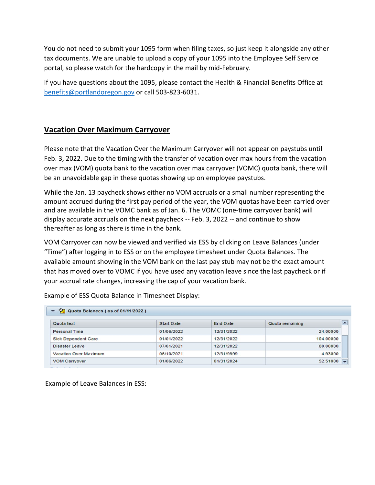You do not need to submit your 1095 form when filing taxes, so just keep it alongside any other tax documents. We are unable to upload a copy of your 1095 into the Employee Self Service portal, so please watch for the hardcopy in the mail by mid-February.

If you have questions about the 1095, please contact the Health & Financial Benefits Office at [benefits@portlandoregon.gov](mailto:benefits@portlandoregon.gov) or call 503-823-6031.

## <span id="page-1-0"></span>**Vacation Over Maximum Carryover**

Please note that the Vacation Over the Maximum Carryover will not appear on paystubs until Feb. 3, 2022. Due to the timing with the transfer of vacation over max hours from the vacation over max (VOM) quota bank to the vacation over max carryover (VOMC) quota bank, there will be an unavoidable gap in these quotas showing up on employee paystubs.

While the Jan. 13 paycheck shows either no VOM accruals or a small number representing the amount accrued during the first pay period of the year, the VOM quotas have been carried over and are available in the VOMC bank as of Jan. 6. The VOMC (one-time carryover bank) will display accurate accruals on the next paycheck -- Feb. 3, 2022 -- and continue to show thereafter as long as there is time in the bank.

VOM Carryover can now be viewed and verified via ESS by clicking on Leave Balances (under "Time") after logging in to ESS or on the employee timesheet under Quota Balances. The available amount showing in the VOM bank on the last pay stub may not be the exact amount that has moved over to VOMC if you have used any vacation leave since the last paycheck or if your accrual rate changes, increasing the cap of your vacation bank.

| Quota text                   | <b>Start Date</b> | <b>End Date</b> | Quota remaining |
|------------------------------|-------------------|-----------------|-----------------|
| <b>Personal Time</b>         | 01/06/2022        | 12/31/2022      | 24,00000        |
| <b>Sick Dependent Care</b>   | 01/01/2022        | 12/31/2022      | 104.00000       |
| Disaster Leave               | 07/01/2021        | 12/31/2022      | 80,00000        |
| <b>Vacation Over Maximum</b> | 06/10/2021        | 12/31/9999      | 4.93000         |
| <b>VOM Carryover</b>         | 01/06/2022        | 01/31/2024      | 52.51000        |

Example of ESS Quota Balance in Timesheet Display:

Example of Leave Balances in ESS: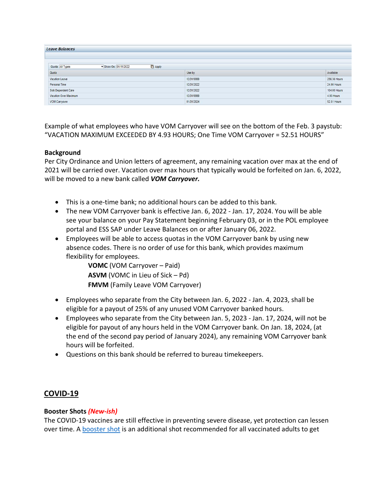| <b>Leave Balances</b>                   |                |                    |
|-----------------------------------------|----------------|--------------------|
| Show On: 01/11/2022<br>Quota: All Types | <b>D</b> Apply |                    |
| Quota                                   | Use by         | Available          |
| Vacation Leave                          | 12/31/9999     | 256.36 Hours       |
| Personal Time                           | 12/31/2022     | 24.00 Hours        |
| Sick Dependent Care                     | 12/31/2022     | 104.00 Hours       |
| Vacation Over Maximum                   | 12/31/9999     | 4.93 Hours         |
| VOM Carryover                           | 01/31/2024     | <b>52.51 Hours</b> |

Example of what employees who have VOM Carryover will see on the bottom of the Feb. 3 paystub: "VACATION MAXIMUM EXCEEDED BY 4.93 HOURS; One Time VOM Carryover = 52.51 HOURS"

#### **Background**

Per City Ordinance and Union letters of agreement, any remaining vacation over max at the end of 2021 will be carried over. Vacation over max hours that typically would be forfeited on Jan. 6, 2022, will be moved to a new bank called *VOM Carryover.*

- This is a one-time bank; no additional hours can be added to this bank.
- The new VOM Carryover bank is effective Jan. 6, 2022 Jan. 17, 2024. You will be able see your balance on your Pay Statement beginning February 03, or in the POL employee portal and ESS SAP under Leave Balances on or after January 06, 2022.
- Employees will be able to access quotas in the VOM Carryover bank by using new absence codes. There is no order of use for this bank, which provides maximum flexibility for employees.

**VOMC** (VOM Carryover – Paid) **ASVM** (VOMC in Lieu of Sick – Pd) **FMVM** (Family Leave VOM Carryover)

- Employees who separate from the City between Jan. 6, 2022 Jan. 4, 2023, shall be eligible for a payout of 25% of any unused VOM Carryover banked hours.
- Employees who separate from the City between Jan. 5, 2023 Jan. 17, 2024, will not be eligible for payout of any hours held in the VOM Carryover bank. On Jan. 18, 2024, (at the end of the second pay period of January 2024), any remaining VOM Carryover bank hours will be forfeited.
- Questions on this bank should be referred to bureau timekeepers.

## <span id="page-2-0"></span>**COVID-19**

#### **Booster Shots** *(New-ish)*

The COVID-19 vaccines are still effective in preventing severe disease, yet protection can lessen over time. A **booster shot** is an additional shot recommended for all vaccinated adults to get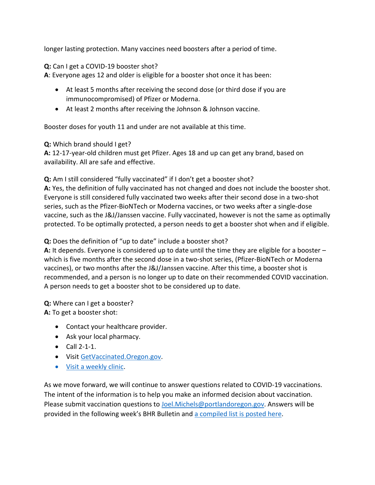longer lasting protection. Many vaccines need boosters after a period of time.

#### **Q:** Can I get a COVID-19 booster shot?

**A**: Everyone ages 12 and older is eligible for a booster shot once it has been:

- At least 5 months after receiving the second dose (or third dose if you are immunocompromised) of Pfizer or Moderna.
- At least 2 months after receiving the Johnson & Johnson vaccine.

Booster doses for youth 11 and under are not available at this time.

#### **Q:** Which brand should I get?

**A:** 12-17-year-old children must get Pfizer. Ages 18 and up can get any brand, based on availability. All are safe and effective.

**Q:** Am I still considered "fully vaccinated" if I don't get a booster shot?

**A:** Yes, the definition of fully vaccinated has not changed and does not include the booster shot. Everyone is still considered fully vaccinated two weeks after their second dose in a two-shot series, such as the Pfizer-BioNTech or Moderna vaccines, or two weeks after a single-dose vaccine, such as the J&J/Janssen vaccine. Fully vaccinated, however is not the same as optimally protected. To be optimally protected, a person needs to get a booster shot when and if eligible.

**Q:** Does the definition of "up to date" include a booster shot?

**A:** It depends. Everyone is considered up to date until the time they are eligible for a booster – which is five months after the second dose in a two-shot series, (Pfizer-BioNTech or Moderna vaccines), or two months after the J&J/Janssen vaccine. After this time, a booster shot is recommended, and a person is no longer up to date on their recommended COVID vaccination. A person needs to get a booster shot to be considered up to date.

**Q:** Where can I get a booster? **A:** To get a booster shot:

- Contact your healthcare provider.
- Ask your local pharmacy.
- Call 2-1-1.
- Visi[t GetVaccinated.Oregon.gov.](https://getvaccinated.oregon.gov/#/)
- [Visit a weekly clinic.](https://www.multco.us/novel-coronavirus-covid-19/upcoming-covid-19-vaccination-clinics)

As we move forward, we will continue to answer questions related to COVID-19 vaccinations. The intent of the information is to help you make an informed decision about vaccination. Please submit vaccination questions to [Joel.Michels@portlandoregon.gov.](mailto:Joel.Michels@portlandoregon.gov) Answers will be provided in the following week's BHR Bulletin an[d a compiled list is posted here.](https://www.portlandoregon.gov/bhr/article/797240)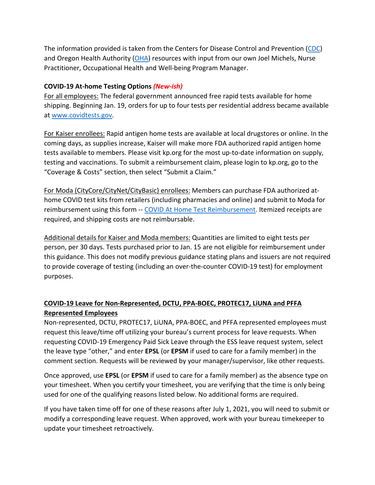The information provided is taken from the Centers for Disease Control and Prevention [\(CDC\)](https://www.cdc.gov/coronavirus/2019-ncov/vaccines/index.html) and Oregon Health Authority [\(OHA\)](https://covidvaccine.oregon.gov/) resources with input from our own Joel Michels, Nurse Practitioner, Occupational Health and Well-being Program Manager.

## **COVID-19 At-home Testing Options** *(New-ish)*

For all employees: The federal government announced free rapid tests available for home shipping. Beginning Jan. 19, orders for up to four tests per residential address became available at [www.covidtests.gov.](http://www.covidtests.gov/)

For Kaiser enrollees: Rapid antigen home tests are available at local drugstores or online. In the coming days, as supplies increase, Kaiser will make more FDA authorized rapid antigen home tests available to members. Please visit kp.org for the most up-to-date information on supply, testing and vaccinations. To submit a reimbursement claim, please login to kp.org, go to the "Coverage & Costs" section, then select "Submit a Claim."

For Moda (CityCore/CityNet/CityBasic) enrollees: Members can purchase FDA authorized athome COVID test kits from retailers (including pharmacies and online) and submit to Moda for reimbursement using this form -- [COVID At Home Test Reimbursement.](https://www.modahealth.com/-/media/modahealth/site/shared/forms/ModaHealth-OTC-COVID-19-AtHomeTest-Medical-MemberReimbursementForm.pdf) Itemized receipts are required, and shipping costs are not reimbursable.

Additional details for Kaiser and Moda members: Quantities are limited to eight tests per person, per 30 days. Tests purchased prior to Jan. 15 are not eligible for reimbursement under this guidance. This does not modify previous guidance stating plans and issuers are not required to provide coverage of testing (including an over-the-counter COVID-19 test) for employment purposes.

# **COVID-19 Leave for Non-Represented, DCTU, PPA-BOEC, PROTEC17, LiUNA and PFFA Represented Employees**

Non-represented, DCTU, PROTEC17, LiUNA, PPA-BOEC, and PFFA represented employees must request this leave/time off utilizing your bureau's current process for leave requests. When requesting COVID-19 Emergency Paid Sick Leave through the ESS leave request system, select the leave type "other," and enter **EPSL** (or **EPSM** if used to care for a family member) in the comment section. Requests will be reviewed by your manager/supervisor, like other requests.

Once approved, use **EPSL** (or **EPSM** if used to care for a family member) as the absence type on your timesheet. When you certify your timesheet, you are verifying that the time is only being used for one of the qualifying reasons listed below. No additional forms are required.

If you have taken time off for one of these reasons after July 1, 2021, you will need to submit or modify a corresponding leave request. When approved, work with your bureau timekeeper to update your timesheet retroactively.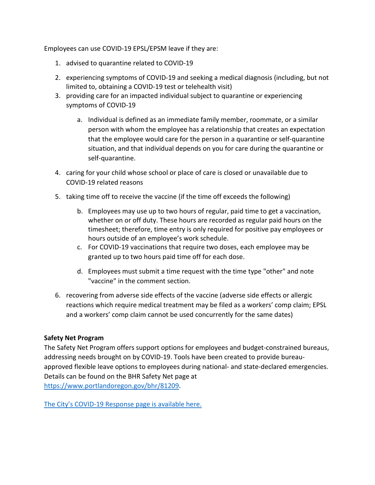Employees can use COVID-19 EPSL/EPSM leave if they are:

- 1. advised to quarantine related to COVID-19
- 2. experiencing symptoms of COVID-19 and seeking a medical diagnosis (including, but not limited to, obtaining a COVID-19 test or telehealth visit)
- 3. providing care for an impacted individual subject to quarantine or experiencing symptoms of COVID-19
	- a. Individual is defined as an immediate family member, roommate, or a similar person with whom the employee has a relationship that creates an expectation that the employee would care for the person in a quarantine or self-quarantine situation, and that individual depends on you for care during the quarantine or self-quarantine.
- 4. caring for your child whose school or place of care is closed or unavailable due to COVID-19 related reasons
- 5. taking time off to receive the vaccine (if the time off exceeds the following)
	- b. Employees may use up to two hours of regular, paid time to get a vaccination, whether on or off duty. These hours are recorded as regular paid hours on the timesheet; therefore, time entry is only required for positive pay employees or hours outside of an employee's work schedule.
	- c. For COVID-19 vaccinations that require two doses, each employee may be granted up to two hours paid time off for each dose.
	- d. Employees must submit a time request with the time type "other" and note "vaccine" in the comment section.
- 6. recovering from adverse side effects of the vaccine (adverse side effects or allergic reactions which require medical treatment may be filed as a workers' comp claim; EPSL and a workers' comp claim cannot be used concurrently for the same dates)

#### **Safety Net Program**

The Safety Net Program offers support options for employees and budget-constrained bureaus, addressing needs brought on by COVID-19. Tools have been created to provide bureauapproved flexible leave options to employees during national- and state-declared emergencies. Details can be found on the BHR Safety Net page at [https://www.portlandoregon.gov/bhr/81209.](https://www.portlandoregon.gov/bhr/81209)

[The City's COVID-19 Response page is available here.](https://www.portlandoregon.gov/bhr/index.cfm?&c=81055)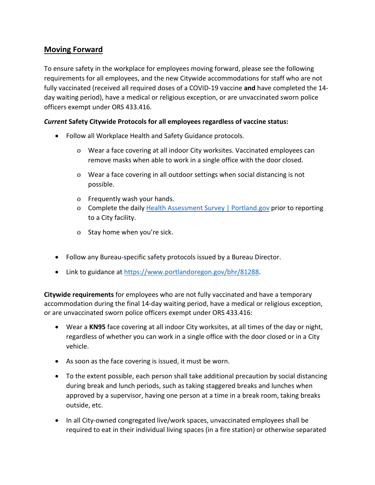# <span id="page-6-0"></span>**Moving Forward**

To ensure safety in the workplace for employees moving forward, please see the following requirements for all employees, and the new Citywide accommodations for staff who are not fully vaccinated (received all required doses of a COVID-19 vaccine **and** have completed the 14 day waiting period), have a medical or religious exception, or are unvaccinated sworn police officers exempt under ORS 433.416.

#### *Current* **Safety Citywide Protocols for all employees regardless of vaccine status:**

- Follow all Workplace Health and Safety Guidance protocols.
	- o Wear a face covering at all indoor City worksites. Vaccinated employees can remove masks when able to work in a single office with the door closed.
	- o Wear a face covering in all outdoor settings when social distancing is not possible.
	- o Frequently wash your hands.
	- o Complete the daily [Health Assessment Survey | Portland.gov](https://www.portland.gov/health-assessment) prior to reporting to a City facility.
	- o Stay home when you're sick.
- Follow any Bureau-specific safety protocols issued by a Bureau Director.
- Link to guidance at [https://www.portlandoregon.gov/bhr/81288.](https://www.portlandoregon.gov/bhr/81288)

**Citywide requirements** for employees who are not fully vaccinated and have a temporary accommodation during the final 14-day waiting period, have a medical or religious exception, or are unvaccinated sworn police officers exempt under ORS 433.416:

- Wear a **KN95** face covering at all indoor City worksites, at all times of the day or night, regardless of whether you can work in a single office with the door closed or in a City vehicle.
- As soon as the face covering is issued, it must be worn.
- To the extent possible, each person shall take additional precaution by social distancing during break and lunch periods, such as taking staggered breaks and lunches when approved by a supervisor, having one person at a time in a break room, taking breaks outside, etc.
- In all City-owned congregated live/work spaces, unvaccinated employees shall be required to eat in their individual living spaces (in a fire station) or otherwise separated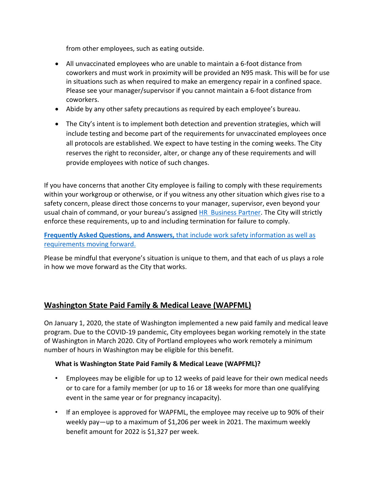from other employees, such as eating outside.

- All unvaccinated employees who are unable to maintain a 6-foot distance from coworkers and must work in proximity will be provided an N95 mask. This will be for use in situations such as when required to make an emergency repair in a confined space. Please see your manager/supervisor if you cannot maintain a 6-foot distance from coworkers.
- Abide by any other safety precautions as required by each employee's bureau.
- The City's intent is to implement both detection and prevention strategies, which will include testing and become part of the requirements for unvaccinated employees once all protocols are established. We expect to have testing in the coming weeks. The City reserves the right to reconsider, alter, or change any of these requirements and will provide employees with notice of such changes.

If you have concerns that another City employee is failing to comply with these requirements within your workgroup or otherwise, or if you witness any other situation which gives rise to a safety concern, please direct those concerns to your manager, supervisor, even beyond your usual chain of command, or your bureau's assigned [HR Business Partner.](https://www.portlandoregon.gov/bhr/article/430513) The City will strictly enforce these requirements, up to and including termination for failure to comply.

**Frequently Asked Questions, and Answers,** [that include work safety information as well as](https://www.portland.gov/bhr/covid-19-safety-info-and-requirements-faq)  [requirements moving forward.](https://www.portland.gov/bhr/covid-19-safety-info-and-requirements-faq)

Please be mindful that everyone's situation is unique to them, and that each of us plays a role in how we move forward as the City that works.

## <span id="page-7-0"></span>**Washington State Paid Family & Medical Leave (WAPFML)**

On January 1, 2020, the state of Washington implemented a new paid family and medical leave program. Due to the COVID-19 pandemic, City employees began working remotely in the state of Washington in March 2020. City of Portland employees who work remotely a minimum number of hours in Washington may be eligible for this benefit.

#### **What is Washington State Paid Family & Medical Leave (WAPFML)?**

- Employees may be eligible for up to 12 weeks of paid leave for their own medical needs or to care for a family member (or up to 16 or 18 weeks for more than one qualifying event in the same year or for pregnancy incapacity).
- If an employee is approved for WAPFML, the employee may receive up to 90% of their weekly pay—up to a maximum of \$1,206 per week in 2021. The maximum weekly benefit amount for 2022 is \$1,327 per week.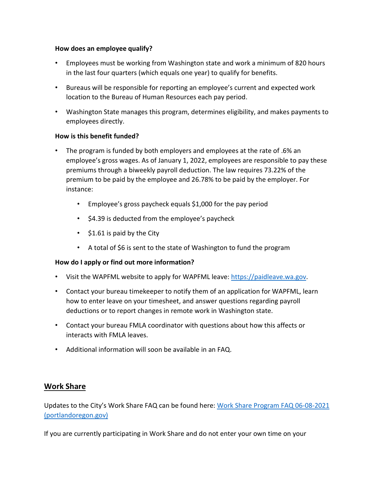#### **How does an employee qualify?**

- Employees must be working from Washington state and work a minimum of 820 hours in the last four quarters (which equals one year) to qualify for benefits.
- Bureaus will be responsible for reporting an employee's current and expected work location to the Bureau of Human Resources each pay period.
- Washington State manages this program, determines eligibility, and makes payments to employees directly.

#### **How is this benefit funded?**

- The program is funded by both employers and employees at the rate of .6% an employee's gross wages. As of January 1, 2022, employees are responsible to pay these premiums through a biweekly payroll deduction. The law requires 73.22% of the premium to be paid by the employee and 26.78% to be paid by the employer. For instance:
	- Employee's gross paycheck equals \$1,000 for the pay period
	- \$4.39 is deducted from the employee's paycheck
	- \$1.61 is paid by the City
	- A total of \$6 is sent to the state of Washington to fund the program

#### **How do I apply or find out more information?**

- Visit the WAPFML website to apply for WAPFML leave: [https://paidleave.wa.gov.](https://paidleave.wa.gov/)
- Contact your bureau timekeeper to notify them of an application for WAPFML, learn how to enter leave on your timesheet, and answer questions regarding payroll deductions or to report changes in remote work in Washington state.
- Contact your bureau FMLA coordinator with questions about how this affects or interacts with FMLA leaves.
- Additional information will soon be available in an FAQ.

# <span id="page-8-0"></span>**Work Share**

Updates to the City's Work Share FAQ can be found here: [Work Share Program FAQ 06-08-2021](https://www.portlandoregon.gov/bhr/article/761976)  [\(portlandoregon.gov\)](https://www.portlandoregon.gov/bhr/article/761976)

If you are currently participating in Work Share and do not enter your own time on your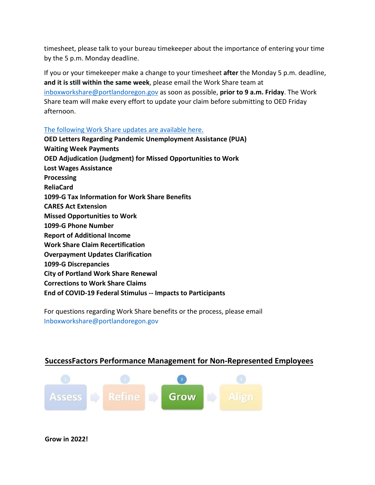timesheet, please talk to your bureau timekeeper about the importance of entering your time by the 5 p.m. Monday deadline.

If you or your timekeeper make a change to your timesheet **after** the Monday 5 p.m. deadline, **and it is still within the same week**, please email the Work Share team at [inboxworkshare@portlandoregon.gov](mailto:inboxworkshare@portlandoregon.gov) as soon as possible, **prior to 9 a.m. Friday**. The Work Share team will make every effort to update your claim before submitting to OED Friday afternoon.

#### [The following Work Share updates are available here.](https://www.portlandoregon.gov/bhr/article/796870)

**OED Letters Regarding Pandemic Unemployment Assistance (PUA) Waiting Week Payments OED Adjudication (Judgment) for Missed Opportunities to Work Lost Wages Assistance Processing ReliaCard 1099-G Tax Information for Work Share Benefits CARES Act Extension Missed Opportunities to Work 1099-G Phone Number Report of Additional Income Work Share Claim Recertification Overpayment Updates Clarification 1099-G Discrepancies City of Portland Work Share Renewal Corrections to Work Share Claims**

**End of COVID-19 Federal Stimulus -- Impacts to Participants**

For questions regarding Work Share benefits or the process, please email [Inboxworkshare@portlandoregon.gov](mailto:Inboxworkshare@portlandoregon.gov)

# <span id="page-9-0"></span>**SuccessFactors Performance Management for Non-Represented Employees**



**Grow in 2022!**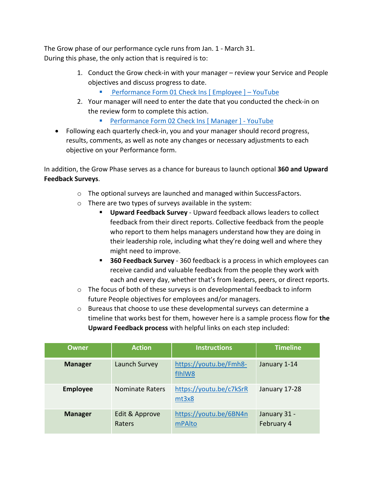The Grow phase of our performance cycle runs from Jan. 1 - March 31. During this phase, the only action that is required is to:

- 1. Conduct the Grow check-in with your manager review your Service and People objectives and discuss progress to date.
	- [Performance Form 01 Check Ins \[ Employee \] YouTube](https://www.youtube.com/watch?v=jsjxScZqKqU)
- 2. Your manager will need to enter the date that you conducted the check-in on the review form to complete this action.
	- [Performance Form 02 Check Ins \[ Manager \] YouTube](https://www.youtube.com/watch?v=Knt9VreiIYU)
- Following each quarterly check-in, you and your manager should record progress, results, comments, as well as note any changes or necessary adjustments to each objective on your Performance form.

In addition, the Grow Phase serves as a chance for bureaus to launch optional **360 and Upward Feedback Surveys**.

- o The optional surveys are launched and managed within SuccessFactors.
- o There are two types of surveys available in the system:
	- **Upward Feedback Survey** Upward feedback allows leaders to collect feedback from their direct reports. Collective feedback from the people who report to them helps managers understand how they are doing in their leadership role, including what they're doing well and where they might need to improve.
	- **360 Feedback Survey** 360 feedback is a process in which employees can receive candid and valuable feedback from the people they work with each and every day, whether that's from leaders, peers, or direct reports.
- o The focus of both of these surveys is on developmental feedback to inform future People objectives for employees and/or managers.
- o Bureaus that choose to use these developmental surveys can determine a timeline that works best for them, however here is a sample process flow for **the Upward Feedback process** with helpful links on each step included:

| Owner           | <b>Action</b>            | <b>Instructions</b>              | <b>Timeline</b>            |
|-----------------|--------------------------|----------------------------------|----------------------------|
| <b>Manager</b>  | Launch Survey            | https://youtu.be/Fmh8-<br>flhlW8 | January 1-14               |
| <b>Employee</b> | <b>Nominate Raters</b>   | https://youtu.be/c7kSrR<br>mt3x8 | January 17-28              |
| <b>Manager</b>  | Edit & Approve<br>Raters | https://youtu.be/6BN4n<br>mPAlto | January 31 -<br>February 4 |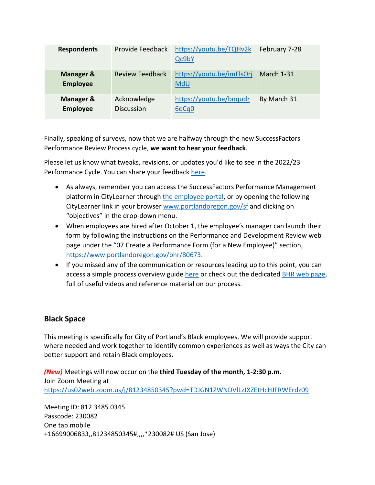| <b>Respondents</b>                      | Provide Feedback                 | https://youtu.be/TQHv2k<br>Qc9bY | February 7-28 |
|-----------------------------------------|----------------------------------|----------------------------------|---------------|
| <b>Manager &amp;</b><br><b>Employee</b> | <b>Review Feedback</b>           | https://youtu.be/imFlsOrj<br>MdU | March 1-31    |
| Manager &<br><b>Employee</b>            | Acknowledge<br><b>Discussion</b> | https://youtu.be/bnqudr<br>6oCq0 | By March 31   |

Finally, speaking of surveys, now that we are halfway through the new SuccessFactors Performance Review Process cycle, **we want to hear your feedback**.

Please let us know what tweaks, revisions, or updates you'd like to see in the 2022/23 Performance Cycle. You can share your feedback [here.](https://forms.gle/74cXX7DKyu5qDiVr9)

- As always, remember you can access the SuccessFactors Performance Management platform in CityLearner through [the employee portal,](https://www.portlandoregon.gov/employee/index.cfm?) or by opening the following CityLearner link in your browser [www.portlandoregon.gov/sf](http://www.portlandoregon.gov/sf) and clicking on "objectives" in the drop-down menu.
- When employees are hired after October 1, the employee's manager can launch their form by following the instructions on the Performance and Development Review web page under the "07 Create a Performance Form (for a New Employee)" section, [https://www.portlandoregon.gov/bhr/80673.](https://www.portlandoregon.gov/bhr/80673)
- If you missed any of the communication or resources leading up to this point, you can access a simple process overview guide [here](https://www.portlandoregon.gov/bhr/article/758125) or check out the dedicated [BHR web page,](https://www.portlandoregon.gov/bhr/index.cfm?&c=80673) full of useful videos and reference material on our process.

## <span id="page-11-0"></span>**Black Space**

This meeting is specifically for City of Portland's Black employees. We will provide support where needed and work together to identify common experiences as well as ways the City can better support and retain Black employees.

*(New)* Meetings will now occur on the **third Tuesday of the month, 1-2:30 p.m.** Join Zoom Meeting at <https://us02web.zoom.us/j/81234850345?pwd=TDJGN1ZWNDVlLzJXZEtHcHJFRWErdz09>

Meeting ID: 812 3485 0345 Passcode: 230082 One tap mobile +16699006833,,81234850345#,,,,\*230082# US (San Jose)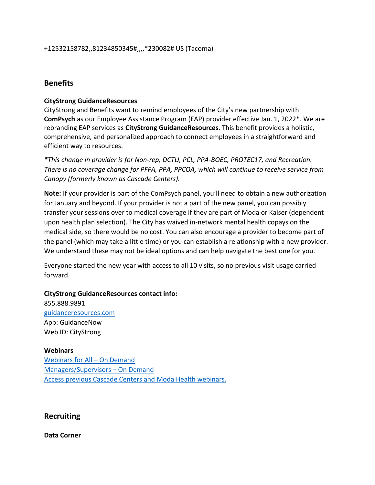## <span id="page-12-1"></span>**Benefits**

#### **CityStrong GuidanceResources**

CityStrong and Benefits want to remind employees of the City's new partnership with **ComPsych** as our Employee Assistance Program (EAP) provider effective Jan. 1, 2022**\***. We are rebranding EAP services as **CityStrong GuidanceResources**. This benefit provides a holistic, comprehensive, and personalized approach to connect employees in a straightforward and efficient way to resources.

*\*This change in provider is for Non-rep, DCTU, PCL, PPA-BOEC, PROTEC17, and Recreation. There is no coverage change for PFFA, PPA, PPCOA, which will continue to receive service from Canopy (formerly known as Cascade Centers).*

**Note:** If your provider is part of the ComPsych panel, you'll need to obtain a new authorization for January and beyond. If your provider is not a part of the new panel, you can possibly transfer your sessions over to medical coverage if they are part of Moda or Kaiser (dependent upon health plan selection). The City has waived in-network mental health copays on the medical side, so there would be no cost. You can also encourage a provider to become part of the panel (which may take a little time) or you can establish a relationship with a new provider. We understand these may not be ideal options and can help navigate the best one for you.

Everyone started the new year with access to all 10 visits, so no previous visit usage carried forward.

**CityStrong GuidanceResources contact info:** 855.888.9891

[guidanceresources.com](https://www.guidanceresources.com/groWeb/login/login.xhtml) App: GuidanceNow Web ID: CityStrong

**Webinars** [Webinars for All – On Demand](https://cascade-gateway.lifeadvantages.net/module.php/core/loginuserpass.php?AuthState=_3ce03a5425cee12e62d0304fc638e4faf53e14890d%3Ahttps%3A%2F%2Fcascade-gateway.lifeadvantages.net%2Fsaml2%2Fidp%2FSSOService.php%3Fspentityid%3Dhttps%253A%252F%252Fsaml-01.personaladvantage.com%252Fsp%26cookieTime%3D1625593352%26RelayState%3Dss%253Amem%253A1d8e1b0ec14601a8153ab04497bc5fd0f0d50a5926308558f40d35a41079c199) [Managers/Supervisors – On Demand](https://www.portlandoregon.gov/bhr/article/750308) [Access previous Cascade Centers and Moda Health webinars.](https://www.portlandoregon.gov/bhr/index.cfm?&c=79368)

#### <span id="page-12-0"></span>**Recruiting**

**Data Corner**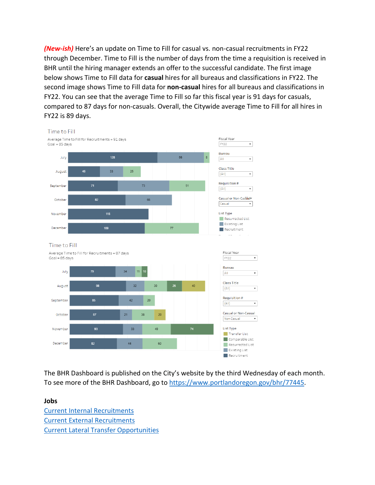*(New-ish)* Here's an update on Time to Fill for casual vs. non-casual recruitments in FY22 through December. Time to Fill is the number of days from the time a requisition is received in BHR until the hiring manager extends an offer to the successful candidate. The first image below shows Time to Fill data for **casual** hires for all bureaus and classifications in FY22. The second image shows Time to Fill data for **non-casual** hires for all bureaus and classifications in FY22. You can see that the average Time to Fill so far this fiscal year is 91 days for casuals, compared to 87 days for non-casuals. Overall, the Citywide average Time to Fill for all hires in FY22 is 89 days.



The BHR Dashboard is published on the City's website by the third Wednesday of each month. To see more of the BHR Dashboard, go to [https://www.portlandoregon.gov/bhr/77445.](https://www.portlandoregon.gov/bhr/77445)

**Jobs** [Current Internal Recruitments](https://www.governmentjobs.com/careers/portlandor/promotionaljobs) [Current External Recruitments](https://www.governmentjobs.com/careers/portlandor?) [Current Lateral Transfer Opportunities](https://www.governmentjobs.com/careers/portlandor/transferjobs)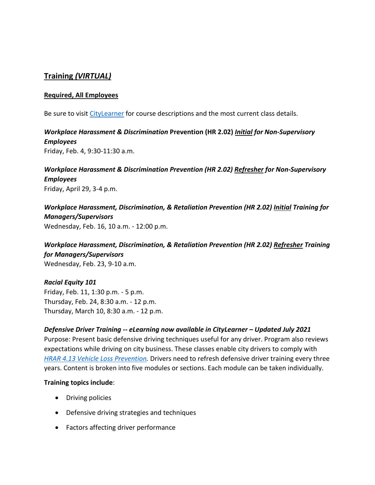# <span id="page-14-0"></span>**Training** *(VIRTUAL)*

#### **Required, All Employees**

Be sure to visit [CityLearner](https://www.portlandoregon.gov/sf) for course descriptions and the most current class details.

## *Workplace Harassment & Discrimination* **Prevention (HR 2.02)** *Initial for Non-Supervisory Employees* Friday, Feb. 4, 9:30-11:30 a.m.

## *Workplace Harassment & Discrimination Prevention (HR 2.02) Refresher for Non-Supervisory Employees* Friday, April 29, 3-4 p.m.

# *Workplace Harassment, Discrimination, & Retaliation Prevention (HR 2.02) Initial Training for Managers/Supervisors*  Wednesday, Feb. 16, 10 a.m. - 12:00 p.m.

*Workplace Harassment, Discrimination, & Retaliation Prevention (HR 2.02) Refresher Training for Managers/Supervisors*  Wednesday, Feb. 23, 9-10 a.m.

*Racial Equity 101* Friday, Feb. 11, 1:30 p.m. - 5 p.m. Thursday, Feb. 24, 8:30 a.m. - 12 p.m. Thursday, March 10, 8:30 a.m. - 12 p.m.

# *Defensive Driver Training -- eLearning now available in CityLearner – Updated July 2021* Purpose: Present basic defensive driving techniques useful for any driver. Program also reviews expectations while driving on city business. These classes enable city drivers to comply with *[HRAR 4.13 Vehicle Loss Prevention.](http://www.portlandoregon.gov/?mode=search&search_action=SearchResults&top_category_tree_id=25777&filter_category_tree_id=25777&search_category_tree_id=25777&search_words=HRAR+4.13+Vehicle+Loss+Prevention&submit=Search)* Drivers need to refresh defensive driver training every three years. Content is broken into five modules or sections. Each module can be taken individually.

#### **Training topics include**:

- Driving policies
- Defensive driving strategies and techniques
- Factors affecting driver performance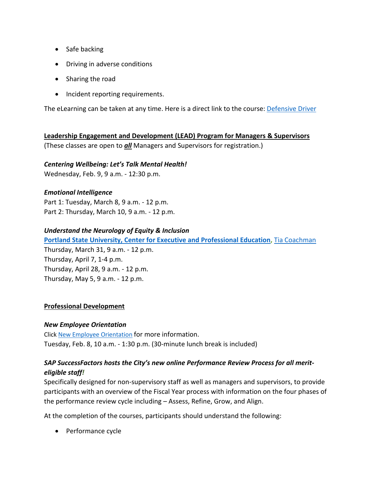- Safe backing
- Driving in adverse conditions
- Sharing the road
- Incident reporting requirements.

The eLearning can be taken at any time. Here is a direct link to the course: **Defensive Driver** 

**Leadership Engagement and Development (LEAD) Program for Managers & Supervisors** (These classes are open to *all* Managers and Supervisors for registration.)

#### *Centering Wellbeing: Let's Talk Mental Health!*

Wednesday, Feb. 9, 9 a.m. - 12:30 p.m.

#### *Emotional Intelligence*

Part 1: Tuesday, March 8, 9 a.m. - 12 p.m. Part 2: Thursday, March 10, 9 a.m. - 12 p.m.

#### *Understand the Neurology of Equity & Inclusion*

**[Portland State University, Center for Executive and Professional Education,](https://www.pdx.edu/professional-education/)** [Tia Coachman](https://www.pdx.edu/professional-education/profile/tia-coachman)

Thursday, March 31, 9 a.m. - 12 p.m. Thursday, April 7, 1-4 p.m. Thursday, April 28, 9 a.m. - 12 p.m. Thursday, May 5, 9 a.m. - 12 p.m.

#### **Professional Development**

#### *New Employee Orientation*

Click [New Employee Orientation](https://www.portlandoregon.gov/bhr/77721) for more information. Tuesday, Feb. 8, 10 a.m. - 1:30 p.m. (30-minute lunch break is included)

## *SAP SuccessFactors hosts the City's new online Performance Review Process for all meriteligible staff!*

Specifically designed for non-supervisory staff as well as managers and supervisors, to provide participants with an overview of the Fiscal Year process with information on the four phases of the performance review cycle including – Assess, Refine, Grow, and Align.

At the completion of the courses, participants should understand the following:

• Performance cycle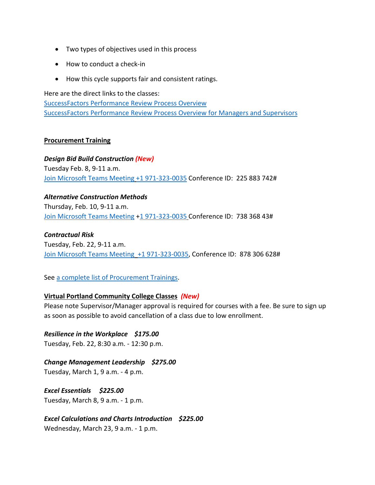- Two types of objectives used in this process
- How to conduct a check-in
- How this cycle supports fair and consistent ratings.

Here are the direct links to the classes: [SuccessFactors Performance Review Process Overview](https://cityofport.plateau.com/learning/user/common/viewItemDetails.do?OWASP_CSRFTOKEN=DU90-LX7U-MJFA-R3RR-74UK-2I97-WO9L-P1RW&componentID=29037&componentTypeID=ELRN&fromSF=Y&revisionDate=1621295700000&menuGroup=Learning&menuItem=Cur&fromDeepLink=true&hideItemDetailsBackLink=true) [SuccessFactors Performance Review Process Overview for Managers and Supervisors](https://cityofport.plateau.com/learning/user/common/viewItemDetails.do?OWASP_CSRFTOKEN=52B6-NP4F-RXCB-ZUY3-124U-DEBZ-IMIS-A678&componentID=29040&componentTypeID=ELRN&fromSF=Y&revisionDate=1621298220000&menuGroup=Learning&menuItem=Cur&fromDeepLink=true&hideItemDetailsBackLink=true)

#### **Procurement Training**

*Design Bid Build Construction (New)* Tuesday Feb. 8, 9-11 a.m. [Join Microsoft Teams Meeting](https://teams.microsoft.com/l/meetup-join/19%3ameeting_NjIxOTQ5ZjAtMGMzYi00ODQ1LWIwMjQtNjU4Yjg4YzFkOTY5%40thread.v2/0?context=%7b%22Tid%22%3a%22636d7808-73c9-41a7-97aa-8c4733642141%22%2c%22Oid%22%3a%2286b2ae6e-2fe6-44ca-9974-4b60b2e2cd99%22%7d) [+1 971-323-0035](tel:+19713230035,,225883742) Conference ID: 225 883 742#

*Alternative Construction Methods*  Thursday, Feb. 10, 9-11 a.m. [Join Microsoft Teams Meeting](https://teams.microsoft.com/l/meetup-join/19%3ameeting_ZjhkNmE5Y2EtODgyZS00NGQ4LTkxZGEtMDY1ZTE4YzdlYmZh%40thread.v2/0?context=%7b%22Tid%22%3a%22636d7808-73c9-41a7-97aa-8c4733642141%22%2c%22Oid%22%3a%2286b2ae6e-2fe6-44ca-9974-4b60b2e2cd99%22%7d) [+1 971-323-0035](tel:+19713230035,,73836843) Conference ID: 738 368 43#

#### *Contractual Risk*

Tuesday, Feb. 22, 9-11 a.m. [Join Microsoft Teams Meeting](https://teams.microsoft.com/l/meetup-join/19%3ameeting_ZjhkNmE5Y2EtODgyZS00NGQ4LTkxZGEtMDY1ZTE4YzdlYmZh%40thread.v2/0?context=%7b%22Tid%22%3a%22636d7808-73c9-41a7-97aa-8c4733642141%22%2c%22Oid%22%3a%2286b2ae6e-2fe6-44ca-9974-4b60b2e2cd99%22%7d) [+1 971-323-0035,](tel:+19713230035,,878306628) Conference ID: 878 306 628#

#### See [a complete list of Procurement Trainings.](https://www.portlandoregon.gov/brfs/article/780678)

#### **Virtual Portland Community College Classes** *(New)*

Please note Supervisor/Manager approval is required for courses with a fee. Be sure to sign up as soon as possible to avoid cancellation of a class due to low enrollment.

*Resilience in the Workplace \$175.00* Tuesday, Feb. 22, 8:30 a.m. - 12:30 p.m.

*Change Management Leadership \$275.00* Tuesday, March 1, 9 a.m. - 4 p.m.

*Excel Essentials \$225.00* Tuesday, March 8, 9 a.m. - 1 p.m.

*Excel Calculations and Charts Introduction \$225.00* Wednesday, March 23, 9 a.m. - 1 p.m.